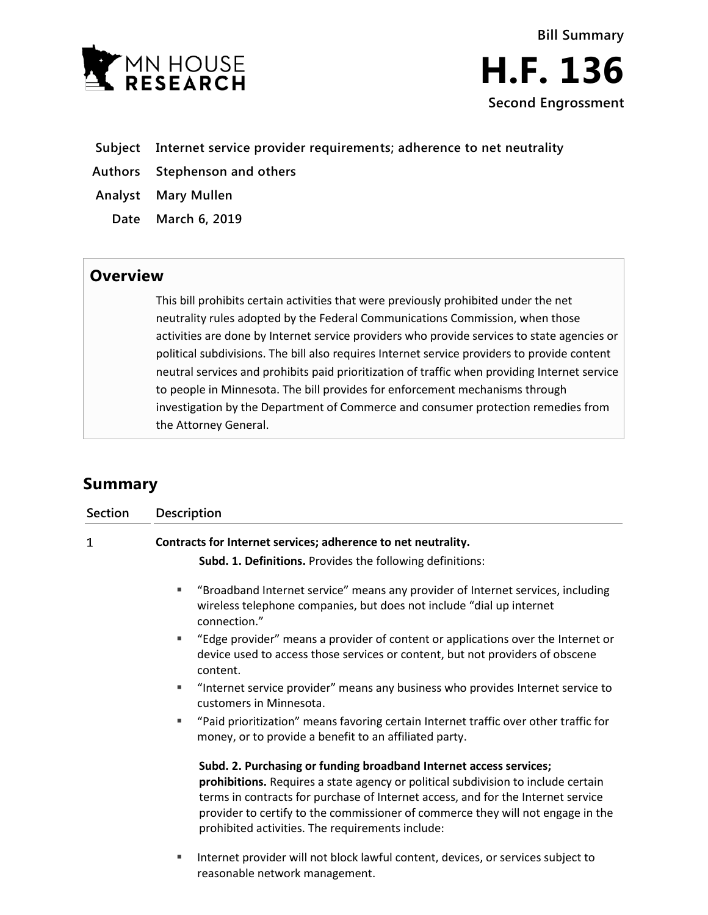

- **Subject Internet service provider requirements; adherence to net neutrality**
- **Authors Stephenson and others**
- **Analyst Mary Mullen**
	- **Date March 6, 2019**

# **Overview**

This bill prohibits certain activities that were previously prohibited under the net neutrality rules adopted by the Federal Communications Commission, when those activities are done by Internet service providers who provide services to state agencies or political subdivisions. The bill also requires Internet service providers to provide content neutral services and prohibits paid prioritization of traffic when providing Internet service to people in Minnesota. The bill provides for enforcement mechanisms through investigation by the Department of Commerce and consumer protection remedies from the Attorney General.

# **Summary**

| <b>Section</b> | <b>Description</b>                                                                                                                                                                                                                                                                                                                                                                 |
|----------------|------------------------------------------------------------------------------------------------------------------------------------------------------------------------------------------------------------------------------------------------------------------------------------------------------------------------------------------------------------------------------------|
| 1              | Contracts for Internet services; adherence to net neutrality.<br>Subd. 1. Definitions. Provides the following definitions:                                                                                                                                                                                                                                                         |
|                | "Broadband Internet service" means any provider of Internet services, including<br>٠<br>wireless telephone companies, but does not include "dial up internet<br>connection."                                                                                                                                                                                                       |
|                | "Edge provider" means a provider of content or applications over the Internet or<br>п.<br>device used to access those services or content, but not providers of obscene<br>content.                                                                                                                                                                                                |
|                | "Internet service provider" means any business who provides Internet service to<br>٠<br>customers in Minnesota.                                                                                                                                                                                                                                                                    |
|                | "Paid prioritization" means favoring certain Internet traffic over other traffic for<br>٠<br>money, or to provide a benefit to an affiliated party.                                                                                                                                                                                                                                |
|                | Subd. 2. Purchasing or funding broadband Internet access services;<br>prohibitions. Requires a state agency or political subdivision to include certain<br>terms in contracts for purchase of Internet access, and for the Internet service<br>provider to certify to the commissioner of commerce they will not engage in the<br>prohibited activities. The requirements include: |
|                | Internet provider will not block lawful content, devices, or services subject to<br>٠<br>reasonable network management.                                                                                                                                                                                                                                                            |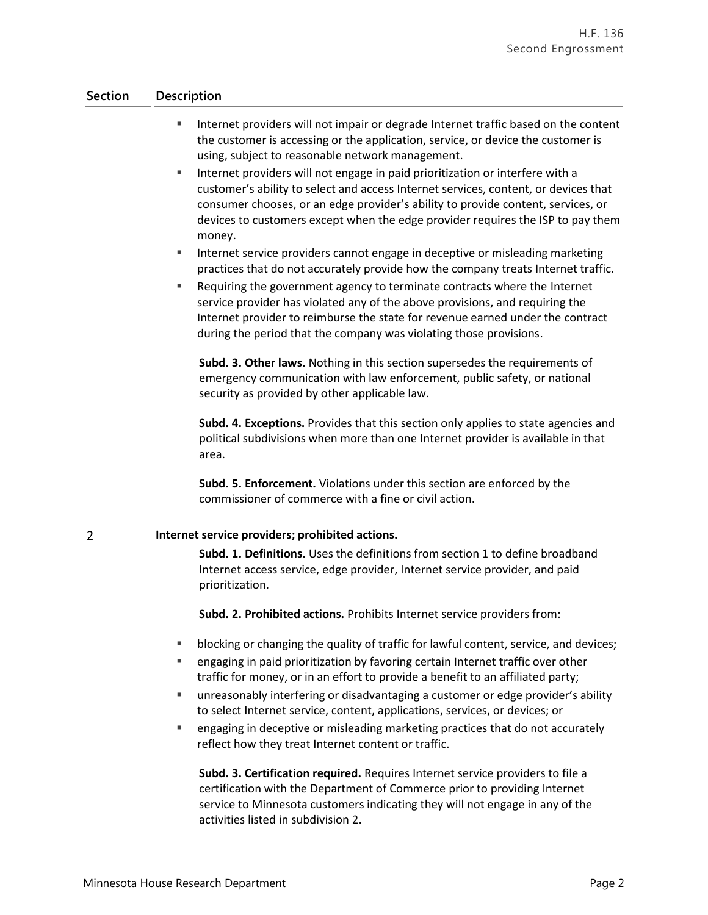## **Section Description**

 $\overline{2}$ 

- Internet providers will not impair or degrade Internet traffic based on the content the customer is accessing or the application, service, or device the customer is using, subject to reasonable network management.
- **IF Internet providers will not engage in paid prioritization or interfere with a** customer's ability to select and access Internet services, content, or devices that consumer chooses, or an edge provider's ability to provide content, services, or devices to customers except when the edge provider requires the ISP to pay them money.
- **IF Internet service providers cannot engage in deceptive or misleading marketing** practices that do not accurately provide how the company treats Internet traffic.
- Requiring the government agency to terminate contracts where the Internet service provider has violated any of the above provisions, and requiring the Internet provider to reimburse the state for revenue earned under the contract during the period that the company was violating those provisions.

**Subd. 3. Other laws.** Nothing in this section supersedes the requirements of emergency communication with law enforcement, public safety, or national security as provided by other applicable law.

**Subd. 4. Exceptions.** Provides that this section only applies to state agencies and political subdivisions when more than one Internet provider is available in that area.

**Subd. 5. Enforcement.** Violations under this section are enforced by the commissioner of commerce with a fine or civil action.

### **Internet service providers; prohibited actions.**

**Subd. 1. Definitions.** Uses the definitions from section 1 to define broadband Internet access service, edge provider, Internet service provider, and paid prioritization.

**Subd. 2. Prohibited actions.** Prohibits Internet service providers from:

- blocking or changing the quality of traffic for lawful content, service, and devices;
- engaging in paid prioritization by favoring certain Internet traffic over other traffic for money, or in an effort to provide a benefit to an affiliated party;
- unreasonably interfering or disadvantaging a customer or edge provider's ability to select Internet service, content, applications, services, or devices; or
- **Example 2** engaging in deceptive or misleading marketing practices that do not accurately reflect how they treat Internet content or traffic.

**Subd. 3. Certification required.** Requires Internet service providers to file a certification with the Department of Commerce prior to providing Internet service to Minnesota customers indicating they will not engage in any of the activities listed in subdivision 2.